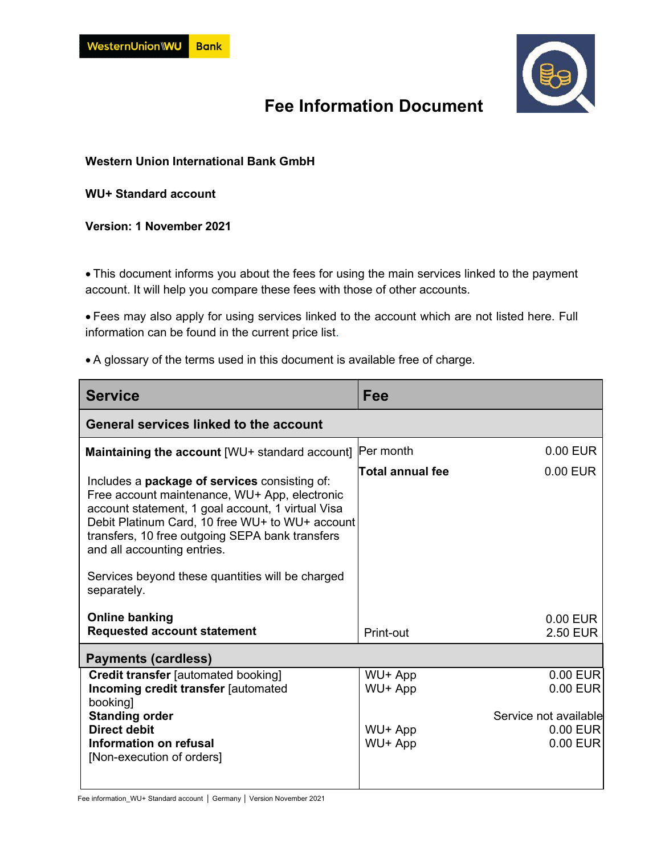

## **Fee Information Document**

**Western Union International Bank GmbH** 

**WU+ Standard account** 

**Version: 1 November 2021** 

 This document informs you about the fees for using the main services linked to the payment account. It will help you compare these fees with those of other accounts.

 Fees may also apply for using services linked to the account which are not listed here. Full information can be found in the current [price list.](https://docs.n26.com/legal/02+AT/01+Account/en/13account-pricelist-en.pdf)

A glossary of the terms used in this document is available free of charge.

| Fee                                             |                                                                         |  |
|-------------------------------------------------|-------------------------------------------------------------------------|--|
| General services linked to the account          |                                                                         |  |
|                                                 | $0.00$ EUR                                                              |  |
|                                                 | 0.00 EUR                                                                |  |
| Print-out                                       | $0.00$ EUR<br>2.50 EUR                                                  |  |
|                                                 |                                                                         |  |
| WU+ App<br>WU+ App<br>WU+ App<br>WU+ App        | 0.00 EUR<br>0.00 EUR<br>Service not available<br>$0.00$ EUR<br>0.00 EUR |  |
| Debit Platinum Card, 10 free WU+ to WU+ account | Per month<br><b>Total annual fee</b>                                    |  |

Fee information\_WU+ Standard account │ Germany │ Version November 2021